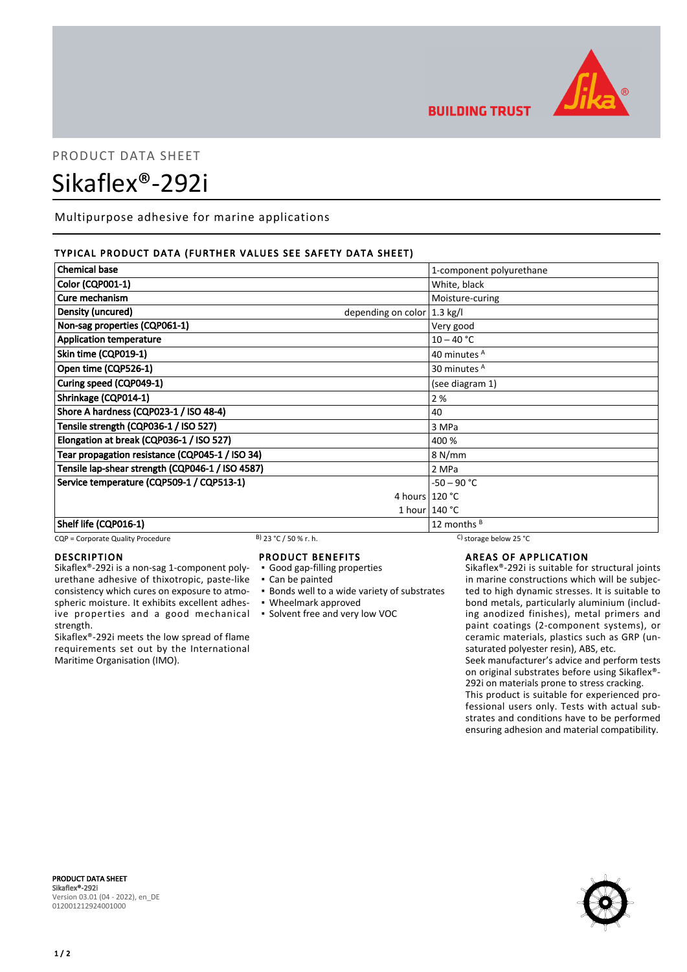

**BUILDING TRUST** 

# PRODUCT DATA SHEET Sikaflex®-292i

Multipurpose adhesive for marine applications

# TYPICAL PRODUCT DATA (FURTHER VALUES SEE SAFETY DATA SHEET)

| <b>Chemical base</b>                                        | 1-component polyurethane |  |
|-------------------------------------------------------------|--------------------------|--|
| <b>Color (CQP001-1)</b>                                     | White, black             |  |
| Cure mechanism                                              | Moisture-curing          |  |
| Density (uncured)<br>depending on color $ 1.3 \text{ kg}/I$ |                          |  |
| Non-sag properties (CQP061-1)                               | Very good                |  |
| <b>Application temperature</b>                              | $10 - 40 °C$             |  |
| Skin time (CQP019-1)                                        | 40 minutes A             |  |
| Open time (CQP526-1)                                        | 30 minutes <sup>A</sup>  |  |
| Curing speed (CQP049-1)                                     | (see diagram 1)          |  |
| Shrinkage (CQP014-1)                                        | 2%                       |  |
| Shore A hardness (CQP023-1 / ISO 48-4)                      | 40                       |  |
| Tensile strength (CQP036-1 / ISO 527)                       | 3 MPa                    |  |
| Elongation at break (CQP036-1 / ISO 527)                    | 400 %                    |  |
| Tear propagation resistance (CQP045-1 / ISO 34)             | 8 N/mm                   |  |
| Tensile lap-shear strength (CQP046-1 / ISO 4587)            | 2 MPa                    |  |
| Service temperature (CQP509-1 / CQP513-1)                   | $-50 - 90 °C$            |  |
|                                                             | 4 hours $120 °C$         |  |
|                                                             | 1 hour   140 °C          |  |
| Shelf life (CQP016-1)                                       | 12 months $B$            |  |

## CQP = Corporate Quality Procedure B) 23 °C / 50 % r. h. C) storage below 25 °C

## DESCRIPTION

Sikaflex®-292i is a non-sag 1-component polyurethane adhesive of thixotropic, paste-like consistency which cures on exposure to atmospheric moisture. It exhibits excellent adhesive properties and a good mechanical strength.

Sikaflex®-292i meets the low spread of flame requirements set out by the International Maritime Organisation (IMO).

## PRODUCT BENEFITS

- Good gap-filling properties
- Can be painted
- **Bonds well to a wide variety of substrates**
- Wheelmark approved
- Solvent free and very low VOC

# AREAS OF APPLICATION

Sikaflex®-292i is suitable for structural joints in marine constructions which will be subjected to high dynamic stresses. It is suitable to bond metals, particularly aluminium (including anodized finishes), metal primers and paint coatings (2-component systems), or ceramic materials, plastics such as GRP (unsaturated polyester resin), ABS, etc. Seek manufacturer's advice and perform tests

on original substrates before using Sikaflex®- 292i on materials prone to stress cracking.

This product is suitable for experienced professional users only. Tests with actual substrates and conditions have to be performed ensuring adhesion and material compatibility.

PRODUCT DATA SHEET Sikaflex®-292i Version 03.01 (04 - 2022), en\_DE 012001212924001000